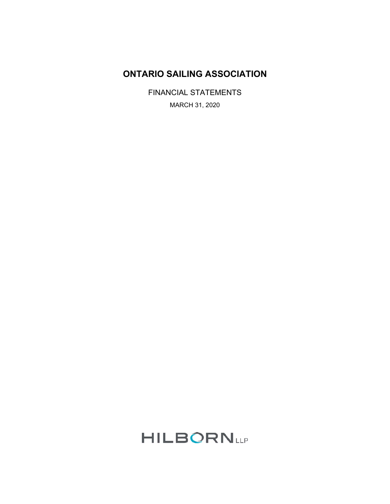## **ONTARIO SAILING ASSOCIATION**

FINANCIAL STATEMENTS MARCH 31, 2020

# **HILBORNLLP**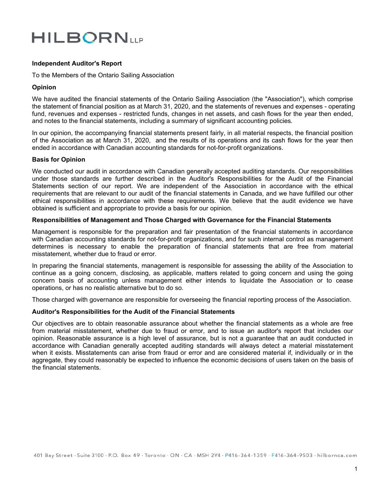# **HILBORN**UP

## **Independent Auditor's Report**

To the Members of the Ontario Sailing Association

## **Opinion**

We have audited the financial statements of the Ontario Sailing Association (the "Association"), which comprise the statement of financial position as at March 31, 2020, and the statements of revenues and expenses - operating fund, revenues and expenses - restricted funds, changes in net assets, and cash flows for the year then ended, and notes to the financial statements, including a summary of significant accounting policies*.*

In our opinion, the accompanying financial statements present fairly, in all material respects, the financial position of the Association as at March 31, 2020, and the results of its operations and its cash flows for the year then ended in accordance with Canadian accounting standards for not-for-profit organizations.

## **Basis for Opinion**

We conducted our audit in accordance with Canadian generally accepted auditing standards. Our responsibilities under those standards are further described in the Auditor's Responsibilities for the Audit of the Financial Statements section of our report. We are independent of the Association in accordance with the ethical requirements that are relevant to our audit of the financial statements in Canada, and we have fulfilled our other ethical responsibilities in accordance with these requirements. We believe that the audit evidence we have obtained is sufficient and appropriate to provide a basis for our opinion.

#### **Responsibilities of Management and Those Charged with Governance for the Financial Statements**

Management is responsible for the preparation and fair presentation of the financial statements in accordance with Canadian accounting standards for not-for-profit organizations, and for such internal control as management determines is necessary to enable the preparation of financial statements that are free from material misstatement, whether due to fraud or error.

In preparing the financial statements, management is responsible for assessing the ability of the Association to continue as a going concern, disclosing, as applicable, matters related to going concern and using the going concern basis of accounting unless management either intends to liquidate the Association or to cease operations, or has no realistic alternative but to do so.

Those charged with governance are responsible for overseeing the financial reporting process of the Association.

#### **Auditor's Responsibilities for the Audit of the Financial Statements**

Our objectives are to obtain reasonable assurance about whether the financial statements as a whole are free from material misstatement, whether due to fraud or error, and to issue an auditor's report that includes our opinion. Reasonable assurance is a high level of assurance, but is not a guarantee that an audit conducted in accordance with Canadian generally accepted auditing standards will always detect a material misstatement when it exists. Misstatements can arise from fraud or error and are considered material if, individually or in the aggregate, they could reasonably be expected to influence the economic decisions of users taken on the basis of the financial statements.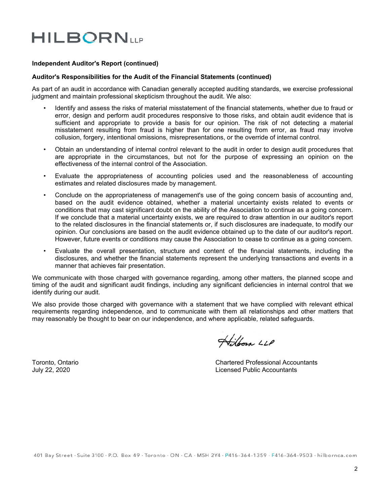# **HILBORNLLP**

## **Independent Auditor's Report (continued)**

#### **Auditor's Responsibilities for the Audit of the Financial Statements (continued)**

As part of an audit in accordance with Canadian generally accepted auditing standards, we exercise professional judgment and maintain professional skepticism throughout the audit. We also:

- Identify and assess the risks of material misstatement of the financial statements, whether due to fraud or error, design and perform audit procedures responsive to those risks, and obtain audit evidence that is sufficient and appropriate to provide a basis for our opinion. The risk of not detecting a material misstatement resulting from fraud is higher than for one resulting from error, as fraud may involve collusion, forgery, intentional omissions, misrepresentations, or the override of internal control.
- Obtain an understanding of internal control relevant to the audit in order to design audit procedures that are appropriate in the circumstances, but not for the purpose of expressing an opinion on the effectiveness of the internal control of the Association.
- Evaluate the appropriateness of accounting policies used and the reasonableness of accounting estimates and related disclosures made by management.
- Conclude on the appropriateness of management's use of the going concern basis of accounting and, based on the audit evidence obtained, whether a material uncertainty exists related to events or conditions that may cast significant doubt on the ability of the Association to continue as a going concern. If we conclude that a material uncertainty exists, we are required to draw attention in our auditor's report to the related disclosures in the financial statements or, if such disclosures are inadequate, to modify our opinion. Our conclusions are based on the audit evidence obtained up to the date of our auditor's report. However, future events or conditions may cause the Association to cease to continue as a going concern.
- Evaluate the overall presentation, structure and content of the financial statements, including the disclosures, and whether the financial statements represent the underlying transactions and events in a manner that achieves fair presentation.

We communicate with those charged with governance regarding, among other matters, the planned scope and timing of the audit and significant audit findings, including any significant deficiencies in internal control that we identify during our audit.

We also provide those charged with governance with a statement that we have complied with relevant ethical requirements regarding independence, and to communicate with them all relationships and other matters that may reasonably be thought to bear on our independence, and where applicable, related safeguards.

Hilborn LLP

Toronto, Ontario Chartered Professional Accountants July 22, 2020 Licensed Public Accountants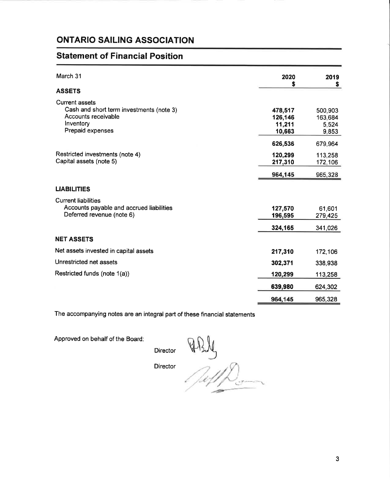## **ONTARIO SAILING ASSOCIATION**

## **Statement of Financial Position**

| March 31                                                                                                                  | 2020<br>\$                             | 2019<br>S                            |
|---------------------------------------------------------------------------------------------------------------------------|----------------------------------------|--------------------------------------|
| <b>ASSETS</b>                                                                                                             |                                        |                                      |
| <b>Current assets</b><br>Cash and short term investments (note 3)<br>Accounts receivable<br>Inventory<br>Prepaid expenses | 478,517<br>126,146<br>11,211<br>10,663 | 500,903<br>163,684<br>5,524<br>9,853 |
|                                                                                                                           | 626,536                                | 679,964                              |
| Restricted investments (note 4)<br>Capital assets (note 5)                                                                | 120,299<br>217,310                     | 113,258<br>172,106                   |
|                                                                                                                           | 964,145                                | 965,328                              |
| <b>LIABILITIES</b>                                                                                                        |                                        |                                      |
| <b>Current liabilities</b><br>Accounts payable and accrued liabilities<br>Deferred revenue (note 6)                       | 127,570<br>196,595                     | 61,601<br>279,425                    |
|                                                                                                                           | 324,165                                | 341,026                              |
| <b>NET ASSETS</b>                                                                                                         |                                        |                                      |
| Net assets invested in capital assets                                                                                     | 217,310                                | 172,106                              |
| Unrestricted net assets                                                                                                   | 302,371                                | 338,938                              |
| Restricted funds (note 1(a))                                                                                              | 120,299                                | 113,258                              |
|                                                                                                                           | 639,980                                | 624,302                              |
|                                                                                                                           | 964,145                                | 965,328                              |

The accompanying notes are an integral part of these financial statements

Approved on behalf of the Board:

Director

**Director** 

PRIL<br>Puffe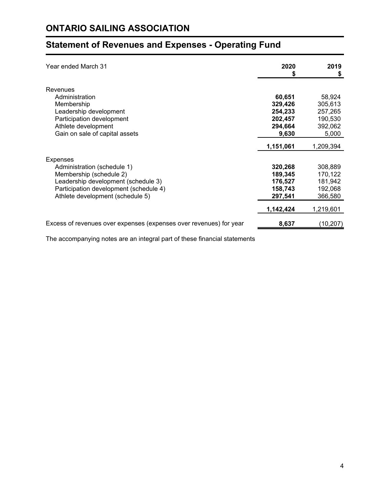## **Statement of Revenues and Expenses - Operating Fund**

| Year ended March 31                                                | 2020<br>\$ | 2019<br>\$ |
|--------------------------------------------------------------------|------------|------------|
| Revenues                                                           | 60,651     | 58,924     |
| Administration                                                     | 329,426    | 305,613    |
| Membership                                                         | 254,233    | 257,265    |
| Leadership development                                             | 202,457    | 190,530    |
| Participation development                                          | 294,664    | 392,062    |
| Athlete development                                                | 9,630      | 5,000      |
| Gain on sale of capital assets                                     | 1,151,061  | 1,209,394  |
| <b>Expenses</b>                                                    | 320,268    | 308,889    |
| Administration (schedule 1)                                        | 189,345    | 170,122    |
| Membership (schedule 2)                                            | 176,527    | 181,942    |
| Leadership development (schedule 3)                                | 158,743    | 192,068    |
| Participation development (schedule 4)                             | 297,541    | 366,580    |
| Athlete development (schedule 5)                                   | 1,142,424  | 1,219,601  |
| Excess of revenues over expenses (expenses over revenues) for year | 8,637      | (10,207)   |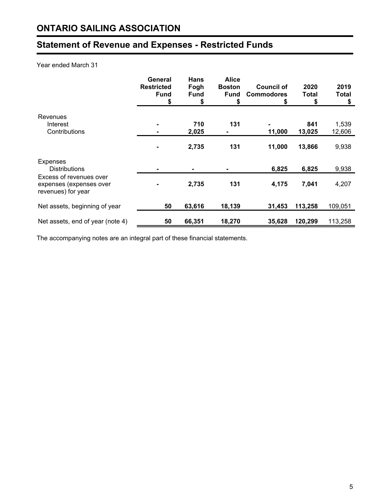## **Statement of Revenue and Expenses - Restricted Funds**

## Year ended March 31

|                                                                          | General<br><b>Restricted</b><br><b>Fund</b><br>\$ | <b>Hans</b><br>Fogh<br><b>Fund</b><br>\$ | <b>Alice</b><br><b>Boston</b><br>Fund<br>S | <b>Council of</b><br><b>Commodores</b><br>\$ | 2020<br>Total<br>\$ | 2019<br>Total<br>\$ |
|--------------------------------------------------------------------------|---------------------------------------------------|------------------------------------------|--------------------------------------------|----------------------------------------------|---------------------|---------------------|
| Revenues<br>Interest<br>Contributions                                    |                                                   | 710<br>2,025                             | 131                                        | 11,000                                       | 841<br>13,025       | 1,539<br>12,606     |
|                                                                          |                                                   | 2,735                                    | 131                                        | 11,000                                       | 13,866              | 9,938               |
| Expenses<br><b>Distributions</b>                                         |                                                   |                                          |                                            | 6,825                                        | 6,825               | 9,938               |
| Excess of revenues over<br>expenses (expenses over<br>revenues) for year |                                                   | 2,735                                    | 131                                        | 4,175                                        | 7,041               | 4,207               |
| Net assets, beginning of year                                            | 50                                                | 63,616                                   | 18,139                                     | 31,453                                       | 113,258             | 109,051             |
| Net assets, end of year (note 4)                                         | 50                                                | 66,351                                   | 18,270                                     | 35,628                                       | 120,299             | 113,258             |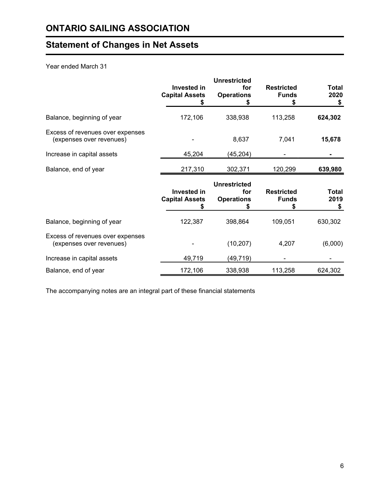## **Statement of Changes in Net Assets**

## Year ended March 31

|                                                              | <b>Invested in</b><br><b>Capital Assets</b> | <b>Unrestricted</b><br>for<br><b>Operations</b> | <b>Restricted</b><br><b>Funds</b> | <b>Total</b><br>2020<br>\$ |
|--------------------------------------------------------------|---------------------------------------------|-------------------------------------------------|-----------------------------------|----------------------------|
| Balance, beginning of year                                   | 172,106                                     | 338,938                                         | 113,258                           | 624,302                    |
| Excess of revenues over expenses<br>(expenses over revenues) |                                             | 8,637                                           | 7,041                             | 15,678                     |
| Increase in capital assets                                   | 45,204                                      | (45,204)                                        |                                   |                            |
| Balance, end of year                                         | 217,310                                     | 302,371                                         | 120,299                           | 639,980                    |
|                                                              | <b>Invested in</b><br><b>Capital Assets</b> | <b>Unrestricted</b><br>for<br><b>Operations</b> | <b>Restricted</b><br><b>Funds</b> | Total<br>2019<br>\$        |
| Balance, beginning of year                                   | 122,387                                     | 398,864                                         | 109,051                           | 630,302                    |
| Excess of revenues over expenses<br>(expenses over revenues) |                                             | (10, 207)                                       | 4,207                             | (6,000)                    |
| Increase in capital assets                                   | 49,719                                      | (49,719)                                        |                                   |                            |
| Balance, end of year                                         | 172,106                                     | 338,938                                         | 113,258                           | 624,302                    |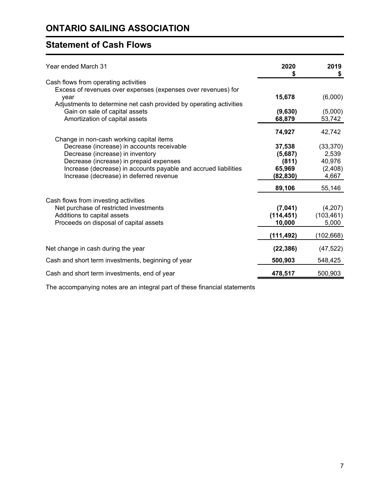## **Statement of Cash Flows**

| Year ended March 31                                                                                   | 2020<br>S  | 2019<br>\$ |
|-------------------------------------------------------------------------------------------------------|------------|------------|
| Cash flows from operating activities<br>Excess of revenues over expenses (expenses over revenues) for |            |            |
| year<br>Adjustments to determine net cash provided by operating activities                            | 15,678     | (6,000)    |
| Gain on sale of capital assets                                                                        | (9,630)    | (5,000)    |
| Amortization of capital assets                                                                        | 68,879     | 53,742     |
|                                                                                                       | 74,927     | 42,742     |
| Change in non-cash working capital items<br>Decrease (increase) in accounts receivable                | 37,538     | (33, 370)  |
| Decrease (increase) in inventory                                                                      | (5,687)    | 2,539      |
| Decrease (increase) in prepaid expenses                                                               | (811)      | 40,976     |
| Increase (decrease) in accounts payable and accrued liabilities                                       | 65,969     | (2,408)    |
| Increase (decrease) in deferred revenue                                                               | (82,830)   | 4,667      |
|                                                                                                       | 89,106     | 55,146     |
| Cash flows from investing activities                                                                  |            |            |
| Net purchase of restricted investments                                                                | (7,041)    | (4,207)    |
| Additions to capital assets                                                                           | (114, 451) | (103, 461) |
| Proceeds on disposal of capital assets                                                                | 10,000     | 5,000      |
|                                                                                                       | (111,492)  | (102,668)  |
| Net change in cash during the year                                                                    | (22, 386)  | (47, 522)  |
| Cash and short term investments, beginning of year                                                    | 500,903    | 548,425    |
| Cash and short term investments, end of year                                                          | 478,517    | 500,903    |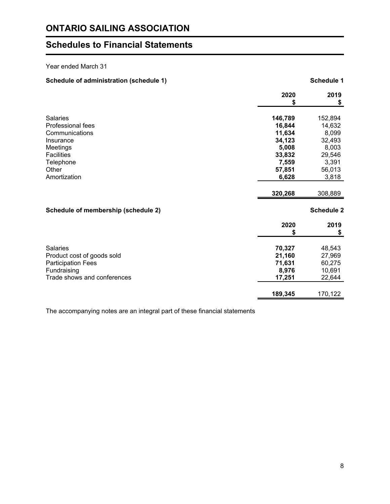## **Schedules to Financial Statements**

## Year ended March 31

| Schedule of administration (schedule 1) |            | <b>Schedule 1</b> |
|-----------------------------------------|------------|-------------------|
|                                         | 2020<br>\$ | 2019<br>\$        |
| <b>Salaries</b>                         | 146,789    | 152,894           |
| Professional fees                       | 16,844     | 14,632            |
| Communications                          | 11,634     | 8,099             |
| Insurance                               | 34,123     | 32,493            |
| Meetings                                | 5,008      | 8,003             |
| <b>Facilities</b>                       | 33,832     | 29,546            |
| Telephone                               | 7,559      | 3,391             |
| Other                                   | 57,851     | 56,013            |
| Amortization                            | 6,628      | 3,818             |
|                                         | 320,268    | 308,889           |
| Schedule of membership (schedule 2)     |            | <b>Schedule 2</b> |
|                                         | 2020<br>\$ | 2019<br>\$        |
|                                         |            |                   |
| <b>Salaries</b>                         | 70,327     | 48,543            |
| Product cost of goods sold              | 21,160     | 27,969            |
| <b>Participation Fees</b>               | 71,631     | 60,275            |
| Fundraising                             | 8,976      | 10,691            |
| Trade shows and conferences             | 17,251     | 22,644            |
|                                         | 189,345    | 170,122           |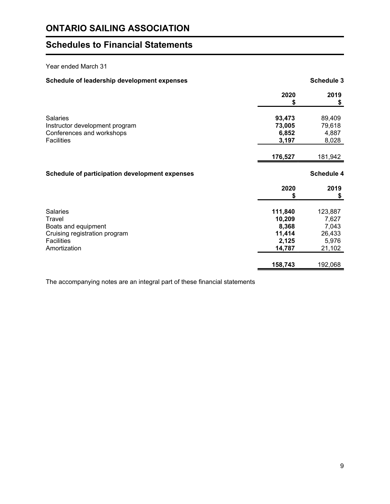## **Schedules to Financial Statements**

## Year ended March 31

## Schedule of leadership development expenses **Schedule 3** Schedule 3

|                                                | 2020<br>\$ | 2019<br>\$        |
|------------------------------------------------|------------|-------------------|
| <b>Salaries</b>                                | 93,473     | 89,409            |
| Instructor development program                 | 73,005     | 79,618            |
| Conferences and workshops                      | 6,852      | 4,887             |
| <b>Facilities</b>                              | 3,197      | 8,028             |
|                                                | 176,527    | 181,942           |
| Schedule of participation development expenses |            | <b>Schedule 4</b> |
|                                                | 2020<br>\$ | 2019<br>\$        |
|                                                |            |                   |
| <b>Salaries</b>                                | 111,840    | 123,887           |
| Travel                                         | 10,209     | 7,627             |
| Boats and equipment                            | 8,368      | 7,043             |
| Cruising registration program                  | 11,414     | 26,433            |
| <b>Facilities</b>                              | 2,125      | 5,976             |
| Amortization                                   | 14,787     | 21,102            |
|                                                | 158,743    | 192,068           |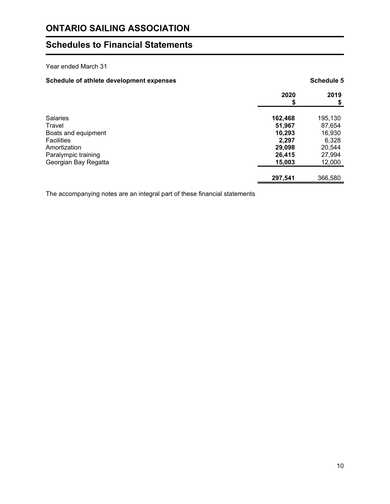## **Schedules to Financial Statements**

## Year ended March 31

## Schedule of athlete development expenses **Schedule 5** Schedule 5

|                      | 2020<br>\$ | 2019<br>\$ |
|----------------------|------------|------------|
|                      |            |            |
| <b>Salaries</b>      | 162,468    | 195,130    |
| Travel               | 51,967     | 87,654     |
| Boats and equipment  | 10,293     | 16,930     |
| <b>Facilities</b>    | 2,297      | 6,328      |
| Amortization         | 29,098     | 20,544     |
| Paralympic training  | 26,415     | 27,994     |
| Georgian Bay Regatta | 15,003     | 12,000     |
|                      |            |            |
|                      | 297,541    | 366,580    |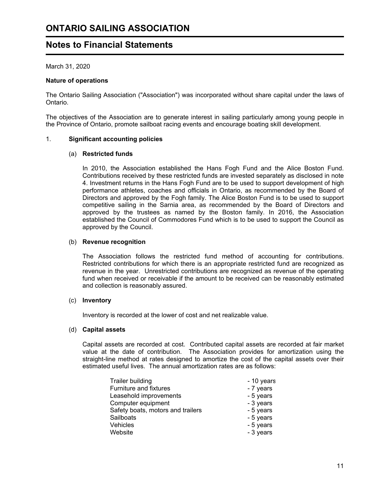## **Notes to Financial Statements**

March 31, 2020

## **Nature of operations**

The Ontario Sailing Association ("Association") was incorporated without share capital under the laws of Ontario.

The objectives of the Association are to generate interest in sailing particularly among young people in the Province of Ontario, promote sailboat racing events and encourage boating skill development.

#### 1. **Significant accounting policies**

## (a) **Restricted funds**

In 2010, the Association established the Hans Fogh Fund and the Alice Boston Fund. Contributions received by these restricted funds are invested separately as disclosed in note 4. Investment returns in the Hans Fogh Fund are to be used to support development of high performance athletes, coaches and officials in Ontario, as recommended by the Board of Directors and approved by the Fogh family. The Alice Boston Fund is to be used to support competitive sailing in the Sarnia area, as recommended by the Board of Directors and approved by the trustees as named by the Boston family. In 2016, the Association established the Council of Commodores Fund which is to be used to support the Council as approved by the Council.

#### (b) **Revenue recognition**

The Association follows the restricted fund method of accounting for contributions. Restricted contributions for which there is an appropriate restricted fund are recognized as revenue in the year. Unrestricted contributions are recognized as revenue of the operating fund when received or receivable if the amount to be received can be reasonably estimated and collection is reasonably assured.

#### (c) **Inventory**

Inventory is recorded at the lower of cost and net realizable value.

#### (d) **Capital assets**

Capital assets are recorded at cost. Contributed capital assets are recorded at fair market value at the date of contribution. The Association provides for amortization using the straight-line method at rates designed to amortize the cost of the capital assets over their estimated useful lives. The annual amortization rates are as follows:

| <b>Trailer building</b>           | - 10 years |
|-----------------------------------|------------|
| Furniture and fixtures            | - 7 years  |
| Leasehold improvements            | - 5 years  |
| Computer equipment                | - 3 years  |
| Safety boats, motors and trailers | - 5 years  |
| Sailboats                         | - 5 years  |
| Vehicles                          | - 5 years  |
| Website                           | - 3 years  |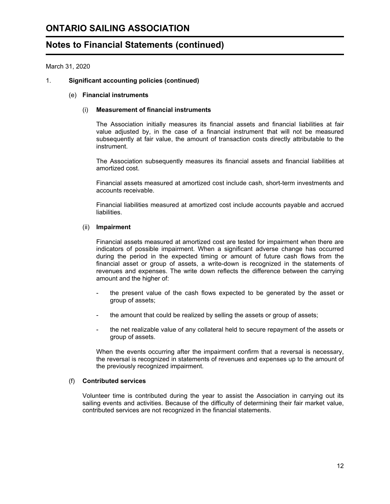## **ONTARIO SAILING ASSOCIATION**

## **Notes to Financial Statements (continued)**

March 31, 2020

## 1. **Significant accounting policies (continued)**

#### (e) **Financial instruments**

#### (i) **Measurement of financial instruments**

The Association initially measures its financial assets and financial liabilities at fair value adjusted by, in the case of a financial instrument that will not be measured subsequently at fair value, the amount of transaction costs directly attributable to the instrument.

The Association subsequently measures its financial assets and financial liabilities at amortized cost.

Financial assets measured at amortized cost include cash, short-term investments and accounts receivable.

Financial liabilities measured at amortized cost include accounts payable and accrued liabilities.

#### (ii) **Impairment**

Financial assets measured at amortized cost are tested for impairment when there are indicators of possible impairment. When a significant adverse change has occurred during the period in the expected timing or amount of future cash flows from the financial asset or group of assets, a write-down is recognized in the statements of revenues and expenses. The write down reflects the difference between the carrying amount and the higher of:

- the present value of the cash flows expected to be generated by the asset or group of assets;
- the amount that could be realized by selling the assets or group of assets;
- the net realizable value of any collateral held to secure repayment of the assets or group of assets.

When the events occurring after the impairment confirm that a reversal is necessary, the reversal is recognized in statements of revenues and expenses up to the amount of the previously recognized impairment.

#### (f) **Contributed services**

Volunteer time is contributed during the year to assist the Association in carrying out its sailing events and activities. Because of the difficulty of determining their fair market value, contributed services are not recognized in the financial statements.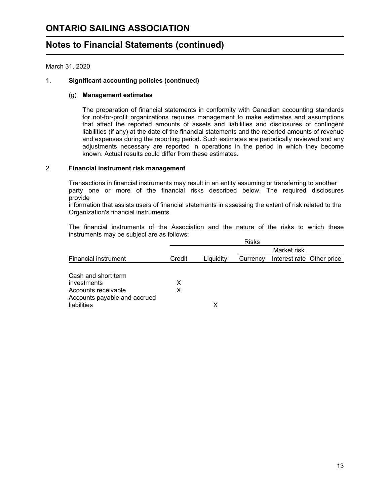March 31, 2020

## 1. **Significant accounting policies (continued)**

#### (g) **Management estimates**

The preparation of financial statements in conformity with Canadian accounting standards for not-for-profit organizations requires management to make estimates and assumptions that affect the reported amounts of assets and liabilities and disclosures of contingent liabilities (if any) at the date of the financial statements and the reported amounts of revenue and expenses during the reporting period. Such estimates are periodically reviewed and any adjustments necessary are reported in operations in the period in which they become known. Actual results could differ from these estimates.

## 2. **Financial instrument risk management**

Transactions in financial instruments may result in an entity assuming or transferring to another party one or more of the financial risks described below. The required disclosures provide

information that assists users of financial statements in assessing the extent of risk related to the Organization's financial instruments.

The financial instruments of the Association and the nature of the risks to which these instruments may be subject are as follows:

|                                                                                                          |        |           | <b>Risks</b> |                           |  |
|----------------------------------------------------------------------------------------------------------|--------|-----------|--------------|---------------------------|--|
|                                                                                                          |        |           |              | Market risk               |  |
| <b>Financial instrument</b>                                                                              | Credit | Liquidity | Currency     | Interest rate Other price |  |
| Cash and short term<br>investments<br>Accounts receivable<br>Accounts payable and accrued<br>liabilities | X<br>X | х         |              |                           |  |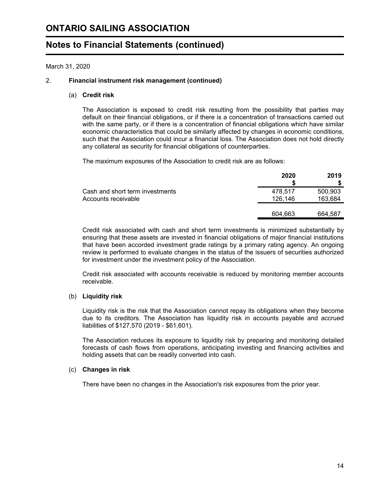March 31, 2020

## 2. **Financial instrument risk management (continued)**

#### (a) **Credit risk**

The Association is exposed to credit risk resulting from the possibility that parties may default on their financial obligations, or if there is a concentration of transactions carried out with the same party, or if there is a concentration of financial obligations which have similar economic characteristics that could be similarly affected by changes in economic conditions, such that the Association could incur a financial loss. The Association does not hold directly any collateral as security for financial obligations of counterparties.

The maximum exposures of the Association to credit risk are as follows:

|                                                        | 2020               | 2019               |
|--------------------------------------------------------|--------------------|--------------------|
| Cash and short term investments<br>Accounts receivable | 478.517<br>126.146 | 500,903<br>163,684 |
|                                                        | 604.663            | 664.587            |

Credit risk associated with cash and short term investments is minimized substantially by ensuring that these assets are invested in financial obligations of major financial institutions that have been accorded investment grade ratings by a primary rating agency. An ongoing review is performed to evaluate changes in the status of the issuers of securities authorized for investment under the investment policy of the Association.

Credit risk associated with accounts receivable is reduced by monitoring member accounts receivable.

#### (b) **Liquidity risk**

Liquidity risk is the risk that the Association cannot repay its obligations when they become due to its creditors. The Association has liquidity risk in accounts payable and accrued liabilities of \$127,570 (2019 - \$61,601).

The Association reduces its exposure to liquidity risk by preparing and monitoring detailed forecasts of cash flows from operations, anticipating investing and financing activities and holding assets that can be readily converted into cash.

#### (c) **Changes in risk**

There have been no changes in the Association's risk exposures from the prior year.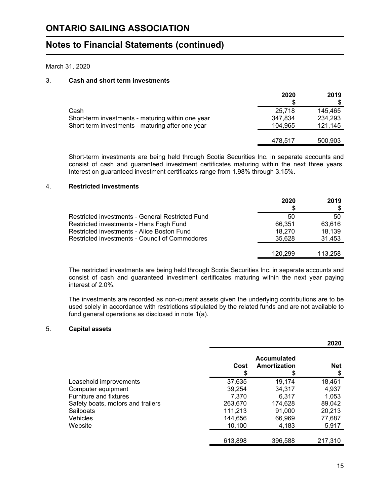## March 31, 2020

## 3. **Cash and short term investments**

|                                                   | 2020    | 2019    |
|---------------------------------------------------|---------|---------|
| Cash                                              | 25.718  | 145.465 |
| Short-term investments - maturing within one year | 347,834 | 234,293 |
| Short-term investments - maturing after one year  | 104,965 | 121,145 |
|                                                   |         |         |
|                                                   | 478,517 | 500,903 |

Short-term investments are being held through Scotia Securities Inc. in separate accounts and consist of cash and guaranteed investment certificates maturing within the next three years. Interest on guaranteed investment certificates range from 1.98% through 3.15%.

## 4. **Restricted investments**

|                                                  | 2020    | 2019    |
|--------------------------------------------------|---------|---------|
| Restricted investments - General Restricted Fund | 50      | 50      |
| Restricted investments - Hans Fogh Fund          | 66,351  | 63.616  |
| Restricted investments - Alice Boston Fund       | 18,270  | 18,139  |
| Restricted investments - Council of Commodores   | 35.628  | 31,453  |
|                                                  |         |         |
|                                                  | 120 299 | 113.258 |

The restricted investments are being held through Scotia Securities Inc. in separate accounts and consist of cash and guaranteed investment certificates maturing within the next year paying interest of 2.0%.

The investments are recorded as non-current assets given the underlying contributions are to be used solely in accordance with restrictions stipulated by the related funds and are not available to fund general operations as disclosed in note 1(a).

## 5. **Capital assets**

|                                   |         |                                    | 2020       |
|-----------------------------------|---------|------------------------------------|------------|
|                                   | Cost    | <b>Accumulated</b><br>Amortization | <b>Net</b> |
| Leasehold improvements            | 37,635  | 19,174                             | 18,461     |
| Computer equipment                | 39,254  | 34,317                             | 4,937      |
| Furniture and fixtures            | 7.370   | 6.317                              | 1,053      |
| Safety boats, motors and trailers | 263,670 | 174,628                            | 89,042     |
| <b>Sailboats</b>                  | 111.213 | 91.000                             | 20,213     |
| <b>Vehicles</b>                   | 144.656 | 66,969                             | 77,687     |
| Website                           | 10,100  | 4,183                              | 5,917      |
|                                   | 613.898 | 396.588                            | 217,310    |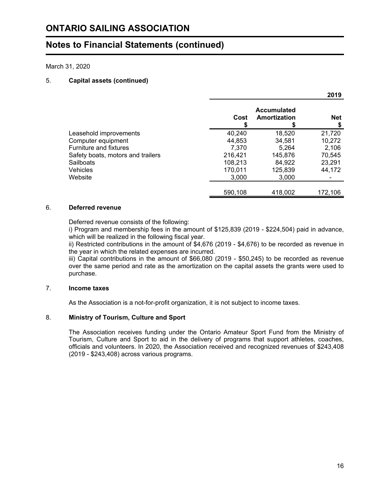March 31, 2020

## 5. **Capital assets (continued)**

|                                   |         |                                    | 2019.            |
|-----------------------------------|---------|------------------------------------|------------------|
|                                   | Cost    | <b>Accumulated</b><br>Amortization | <b>Net</b><br>\$ |
| Leasehold improvements            | 40,240  | 18,520                             | 21,720           |
| Computer equipment                | 44,853  | 34,581                             | 10,272           |
| Furniture and fixtures            | 7.370   | 5.264                              | 2,106            |
| Safety boats, motors and trailers | 216,421 | 145,876                            | 70,545           |
| <b>Sailboats</b>                  | 108,213 | 84.922                             | 23,291           |
| Vehicles                          | 170,011 | 125,839                            | 44,172           |
| Website                           | 3,000   | 3,000                              |                  |
|                                   | 590,108 | 418,002                            | 172,106          |

## 6. **Deferred revenue**

Deferred revenue consists of the following:

i) Program and membership fees in the amount of \$125,839 (2019 - \$224,504) paid in advance, which will be realized in the following fiscal year.

ii) Restricted contributions in the amount of \$4,676 (2019 - \$4,676) to be recorded as revenue in the year in which the related expenses are incurred.

iii) Capital contributions in the amount of \$66,080 (2019 - \$50,245) to be recorded as revenue over the same period and rate as the amortization on the capital assets the grants were used to purchase.

## 7. **Income taxes**

As the Association is a not-for-profit organization, it is not subject to income taxes.

#### 8. **Ministry of Tourism, Culture and Sport**

The Association receives funding under the Ontario Amateur Sport Fund from the Ministry of Tourism, Culture and Sport to aid in the delivery of programs that support athletes, coaches, officials and volunteers. In 2020, the Association received and recognized revenues of \$243,408 (2019 - \$243,408) across various programs.

**2019**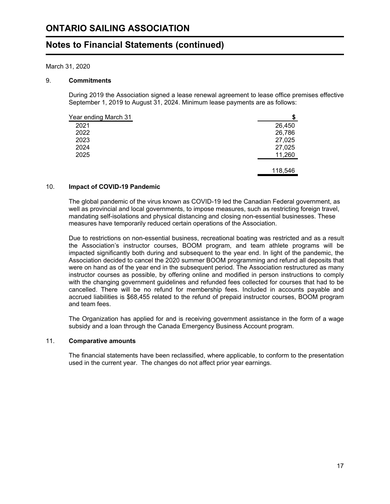March 31, 2020

## 9. **Commitments**

During 2019 the Association signed a lease renewal agreement to lease office premises effective September 1, 2019 to August 31, 2024. Minimum lease payments are as follows:

| Year ending March 31 | S       |
|----------------------|---------|
| 2021                 | 26,450  |
| 2022                 | 26,786  |
| 2023                 | 27,025  |
| 2024                 | 27,025  |
| 2025                 | 11,260  |
|                      |         |
|                      | 118,546 |

#### 10. **Impact of COVID-19 Pandemic**

The global pandemic of the virus known as COVID-19 led the Canadian Federal government, as well as provincial and local governments, to impose measures, such as restricting foreign travel, mandating self-isolations and physical distancing and closing non-essential businesses. These measures have temporarily reduced certain operations of the Association.

Due to restrictions on non-essential business, recreational boating was restricted and as a result the Association's instructor courses, BOOM program, and team athlete programs will be impacted significantly both during and subsequent to the year end. In light of the pandemic, the Association decided to cancel the 2020 summer BOOM programming and refund all deposits that were on hand as of the year end in the subsequent period. The Association restructured as many instructor courses as possible, by offering online and modified in person instructions to comply with the changing government guidelines and refunded fees collected for courses that had to be cancelled. There will be no refund for membership fees. Included in accounts payable and accrued liabilities is \$68,455 related to the refund of prepaid instructor courses, BOOM program and team fees.

The Organization has applied for and is receiving government assistance in the form of a wage subsidy and a loan through the Canada Emergency Business Account program.

#### 11. **Comparative amounts**

The financial statements have been reclassified, where applicable, to conform to the presentation used in the current year. The changes do not affect prior year earnings.